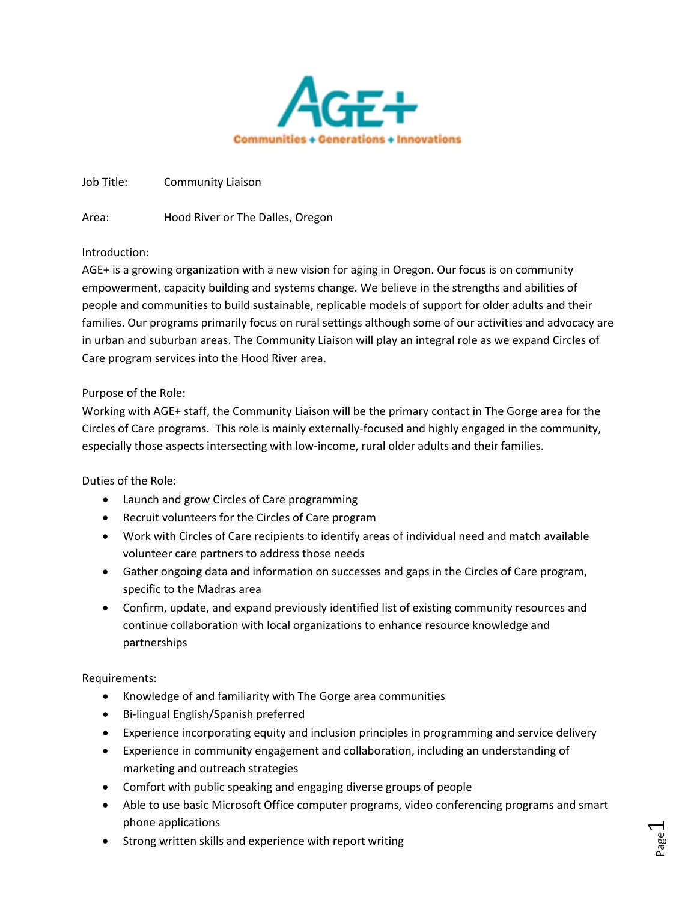

Job Title: Community Liaison

Area: Hood River or The Dalles, Oregon

# Introduction:

AGE+ is a growing organization with a new vision for aging in Oregon. Our focus is on community empowerment, capacity building and systems change. We believe in the strengths and abilities of people and communities to build sustainable, replicable models of support for older adults and their families. Our programs primarily focus on rural settings although some of our activities and advocacy are in urban and suburban areas. The Community Liaison will play an integral role as we expand Circles of Care program services into the Hood River area.

# Purpose of the Role:

Working with AGE+ staff, the Community Liaison will be the primary contact in The Gorge area for the Circles of Care programs. This role is mainly externally-focused and highly engaged in the community, especially those aspects intersecting with low-income, rural older adults and their families.

### Duties of the Role:

- Launch and grow Circles of Care programming
- Recruit volunteers for the Circles of Care program
- Work with Circles of Care recipients to identify areas of individual need and match available volunteer care partners to address those needs
- Gather ongoing data and information on successes and gaps in the Circles of Care program, specific to the Madras area
- Confirm, update, and expand previously identified list of existing community resources and continue collaboration with local organizations to enhance resource knowledge and partnerships

### Requirements:

- Knowledge of and familiarity with The Gorge area communities
- Bi-lingual English/Spanish preferred
- Experience incorporating equity and inclusion principles in programming and service delivery
- Experience in community engagement and collaboration, including an understanding of marketing and outreach strategies
- Comfort with public speaking and engaging diverse groups of people
- Able to use basic Microsoft Office computer programs, video conferencing programs and smart phone applications
- Strong written skills and experience with report writing